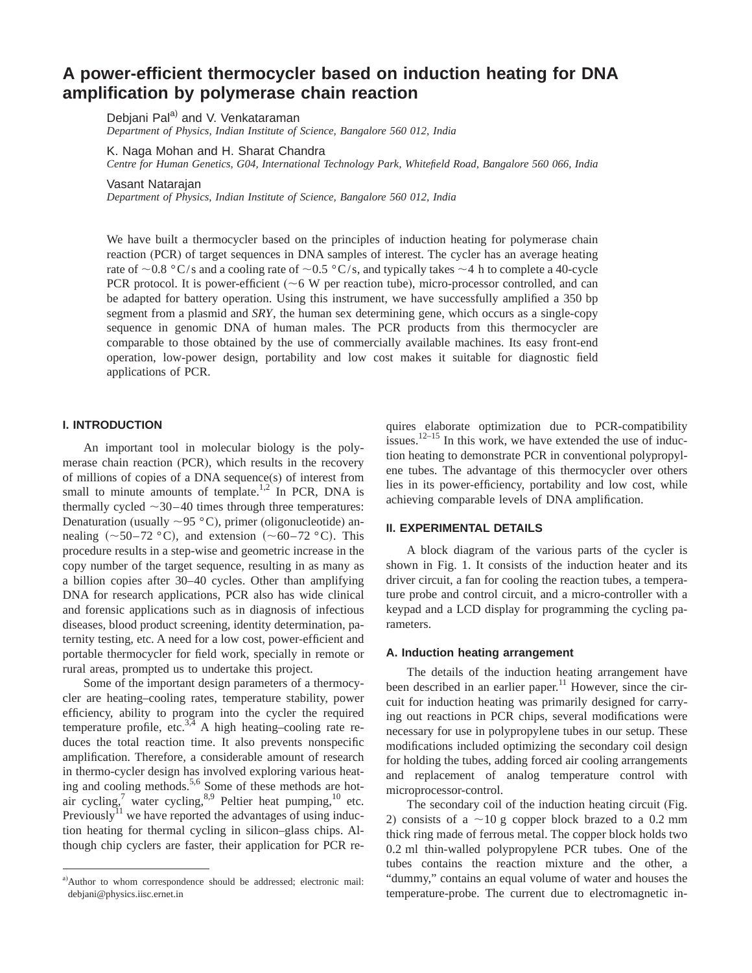# **A power-efficient thermocycler based on induction heating for DNA amplification by polymerase chain reaction**

Debjani Pal<sup>a)</sup> and V. Venkataraman *Department of Physics, Indian Institute of Science, Bangalore 560 012, India*

K. Naga Mohan and H. Sharat Chandra

*Centre for Human Genetics, G04, International Technology Park, Whitefield Road, Bangalore 560 066, India*

Vasant Natarajan

*Department of Physics, Indian Institute of Science, Bangalore 560 012, India*

We have built a thermocycler based on the principles of induction heating for polymerase chain reaction (PCR) of target sequences in DNA samples of interest. The cycler has an average heating rate of  $\sim$  0.8 °C/s and a cooling rate of  $\sim$  0.5 °C/s, and typically takes  $\sim$  4 h to complete a 40-cycle PCR protocol. It is power-efficient ( $\sim$ 6 W per reaction tube), micro-processor controlled, and can be adapted for battery operation. Using this instrument, we have successfully amplified a 350 bp segment from a plasmid and *SRY*, the human sex determining gene, which occurs as a single-copy sequence in genomic DNA of human males. The PCR products from this thermocycler are comparable to those obtained by the use of commercially available machines. Its easy front-end operation, low-power design, portability and low cost makes it suitable for diagnostic field applications of PCR.

## **I. INTRODUCTION**

An important tool in molecular biology is the polymerase chain reaction (PCR), which results in the recovery of millions of copies of a DNA sequence(s) of interest from small to minute amounts of template.<sup>1,2</sup> In PCR, DNA is thermally cycled  $\sim$ 30–40 times through three temperatures: Denaturation (usually  $\sim$ 95 °C), primer (oligonucleotide) annealing  $(\sim 50-72 \degree C)$ , and extension  $(\sim 60-72 \degree C)$ . This procedure results in a step-wise and geometric increase in the copy number of the target sequence, resulting in as many as a billion copies after 30–40 cycles. Other than amplifying DNA for research applications, PCR also has wide clinical and forensic applications such as in diagnosis of infectious diseases, blood product screening, identity determination, paternity testing, etc. A need for a low cost, power-efficient and portable thermocycler for field work, specially in remote or rural areas, prompted us to undertake this project.

Some of the important design parameters of a thermocycler are heating–cooling rates, temperature stability, power efficiency, ability to program into the cycler the required temperature profile, etc. $3,4$  A high heating–cooling rate reduces the total reaction time. It also prevents nonspecific amplification. Therefore, a considerable amount of research in thermo-cycler design has involved exploring various heating and cooling methods.<sup>5,6</sup> Some of these methods are hotair cycling,<sup>7</sup> water cycling,<sup>8,9</sup> Peltier heat pumping,<sup>10</sup> etc. Previously<sup>11</sup> we have reported the advantages of using induction heating for thermal cycling in silicon–glass chips. Although chip cyclers are faster, their application for PCR requires elaborate optimization due to PCR-compatibility issues.<sup>12–15</sup> In this work, we have extended the use of induction heating to demonstrate PCR in conventional polypropylene tubes. The advantage of this thermocycler over others lies in its power-efficiency, portability and low cost, while achieving comparable levels of DNA amplification.

### **II. EXPERIMENTAL DETAILS**

A block diagram of the various parts of the cycler is shown in Fig. 1. It consists of the induction heater and its driver circuit, a fan for cooling the reaction tubes, a temperature probe and control circuit, and a micro-controller with a keypad and a LCD display for programming the cycling parameters.

#### **A. Induction heating arrangement**

The details of the induction heating arrangement have been described in an earlier paper.<sup>11</sup> However, since the circuit for induction heating was primarily designed for carrying out reactions in PCR chips, several modifications were necessary for use in polypropylene tubes in our setup. These modifications included optimizing the secondary coil design for holding the tubes, adding forced air cooling arrangements and replacement of analog temperature control with microprocessor-control.

The secondary coil of the induction heating circuit (Fig. 2) consists of a  $\sim$ 10 g copper block brazed to a 0.2 mm thick ring made of ferrous metal. The copper block holds two 0.2 ml thin-walled polypropylene PCR tubes. One of the tubes contains the reaction mixture and the other, a "dummy," contains an equal volume of water and houses the temperature-probe. The current due to electromagnetic in-

a) Author to whom correspondence should be addressed; electronic mail: debjani@physics.iisc.ernet.in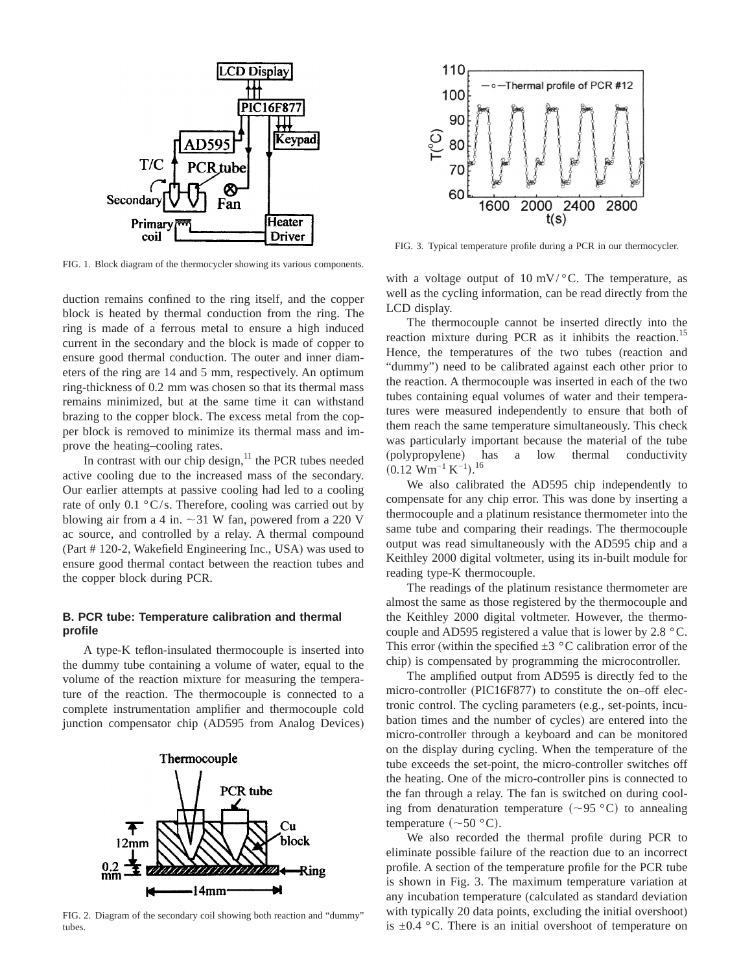

FIG. 1. Block diagram of the thermocycler showing its various components.

duction remains confined to the ring itself, and the copper block is heated by thermal conduction from the ring. The ring is made of a ferrous metal to ensure a high induced current in the secondary and the block is made of copper to ensure good thermal conduction. The outer and inner diameters of the ring are 14 and 5 mm, respectively. An optimum ring-thickness of 0.2 mm was chosen so that its thermal mass remains minimized, but at the same time it can withstand brazing to the copper block. The excess metal from the copper block is removed to minimize its thermal mass and improve the heating–cooling rates.

In contrast with our chip design, $11$  the PCR tubes needed active cooling due to the increased mass of the secondary. Our earlier attempts at passive cooling had led to a cooling rate of only  $0.1 \degree C/s$ . Therefore, cooling was carried out by blowing air from a 4 in.  $\sim$  31 W fan, powered from a 220 V ac source, and controlled by a relay. A thermal compound (Part # 120-2, Wakefield Engineering Inc., USA) was used to ensure good thermal contact between the reaction tubes and the copper block during PCR.

## **B. PCR tube: Temperature calibration and thermal profile**

A type-K teflon-insulated thermocouple is inserted into the dummy tube containing a volume of water, equal to the volume of the reaction mixture for measuring the temperature of the reaction. The thermocouple is connected to a complete instrumentation amplifier and thermocouple cold junction compensator chip (AD595 from Analog Devices)



FIG. 2. Diagram of the secondary coil showing both reaction and "dummy" tubes



FIG. 3. Typical temperature profile during a PCR in our thermocycler.

with a voltage output of 10 mV/ $\degree$ C. The temperature, as well as the cycling information, can be read directly from the LCD display.

The thermocouple cannot be inserted directly into the reaction mixture during PCR as it inhibits the reaction.<sup>15</sup> Hence, the temperatures of the two tubes (reaction and "dummy") need to be calibrated against each other prior to the reaction. A thermocouple was inserted in each of the two tubes containing equal volumes of water and their temperatures were measured independently to ensure that both of them reach the same temperature simultaneously. This check was particularly important because the material of the tube (polypropylene) has a low thermal conductivity  $(0.12 \text{ Wm}^{-1} \text{ K}^{-1})$ .<sup>16</sup>

We also calibrated the AD595 chip independently to compensate for any chip error. This was done by inserting a thermocouple and a platinum resistance thermometer into the same tube and comparing their readings. The thermocouple output was read simultaneously with the AD595 chip and a Keithley 2000 digital voltmeter, using its in-built module for reading type-K thermocouple.

The readings of the platinum resistance thermometer are almost the same as those registered by the thermocouple and the Keithley 2000 digital voltmeter. However, the thermocouple and AD595 registered a value that is lower by 2.8 °C. This error (within the specified  $\pm 3$  °C calibration error of the chip) is compensated by programming the microcontroller.

The amplified output from AD595 is directly fed to the micro-controller (PIC16F877) to constitute the on–off electronic control. The cycling parameters (e.g., set-points, incubation times and the number of cycles) are entered into the micro-controller through a keyboard and can be monitored on the display during cycling. When the temperature of the tube exceeds the set-point, the micro-controller switches off the heating. One of the micro-controller pins is connected to the fan through a relay. The fan is switched on during cooling from denaturation temperature  $(\sim 95 \degree C)$  to annealing temperature  $(\sim 50 \degree C)$ .

We also recorded the thermal profile during PCR to eliminate possible failure of the reaction due to an incorrect profile. A section of the temperature profile for the PCR tube is shown in Fig. 3. The maximum temperature variation at any incubation temperature (calculated as standard deviation with typically 20 data points, excluding the initial overshoot) is  $\pm 0.4$  °C. There is an initial overshoot of temperature on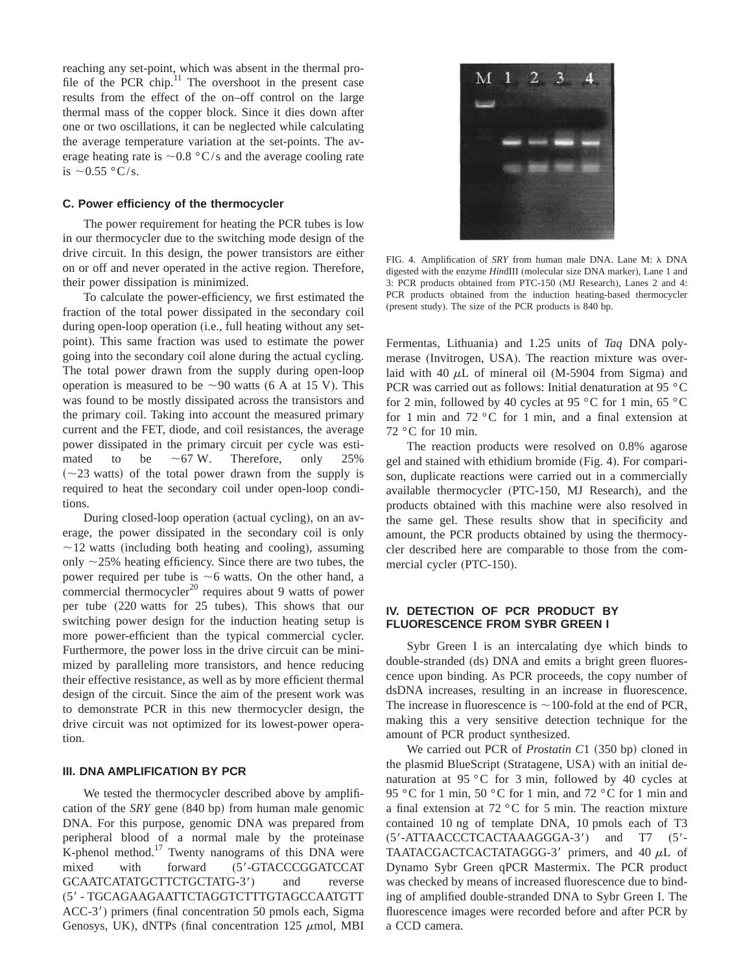reaching any set-point, which was absent in the thermal profile of the PCR chip.<sup>11</sup> The overshoot in the present case results from the effect of the on–off control on the large thermal mass of the copper block. Since it dies down after one or two oscillations, it can be neglected while calculating the average temperature variation at the set-points. The average heating rate is  $\sim 0.8$  °C/s and the average cooling rate is  $\sim$  0.55 °C/s.

## **C. Power efficiency of the thermocycler**

The power requirement for heating the PCR tubes is low in our thermocycler due to the switching mode design of the drive circuit. In this design, the power transistors are either on or off and never operated in the active region. Therefore, their power dissipation is minimized.

To calculate the power-efficiency, we first estimated the fraction of the total power dissipated in the secondary coil during open-loop operation (i.e., full heating without any setpoint). This same fraction was used to estimate the power going into the secondary coil alone during the actual cycling. The total power drawn from the supply during open-loop operation is measured to be  $\sim$ 90 watts (6 A at 15 V). This was found to be mostly dissipated across the transistors and the primary coil. Taking into account the measured primary current and the FET, diode, and coil resistances, the average power dissipated in the primary circuit per cycle was estimated to be  $\sim 67$  W. Therefore, only 25%  $(\sim 23$  watts) of the total power drawn from the supply is required to heat the secondary coil under open-loop conditions.

During closed-loop operation (actual cycling), on an average, the power dissipated in the secondary coil is only  $\sim$ 12 watts (including both heating and cooling), assuming only  $\sim$ 25% heating efficiency. Since there are two tubes, the power required per tube is  $\sim$ 6 watts. On the other hand, a commercial thermocycler<sup>20</sup> requires about 9 watts of power per tube (220 watts for 25 tubes). This shows that our switching power design for the induction heating setup is more power-efficient than the typical commercial cycler. Furthermore, the power loss in the drive circuit can be minimized by paralleling more transistors, and hence reducing their effective resistance, as well as by more efficient thermal design of the circuit. Since the aim of the present work was to demonstrate PCR in this new thermocycler design, the drive circuit was not optimized for its lowest-power operation.

#### **III. DNA AMPLIFICATION BY PCR**

We tested the thermocycler described above by amplification of the *SRY* gene  $(840$  bp) from human male genomic DNA. For this purpose, genomic DNA was prepared from peripheral blood of a normal male by the proteinase K-phenol method. $17$  Twenty nanograms of this DNA were mixed with forward (5'-GTACCCGGATCCAT GCAATCATATGCTTCTGCTATG-3') and reverse (58 - TGCAGAAGAATTCTAGGTCTTTGTAGCCAATGTT ACC-3') primers (final concentration 50 pmols each, Sigma Genosys, UK), dNTPs (final concentration  $125 \mu$ mol, MBI



FIG. 4. Amplification of *SRY* from human male DNA. Lane M:  $\lambda$  DNA digested with the enzyme *Hin*dIII (molecular size DNA marker), Lane 1 and 3: PCR products obtained from PTC-150 (MJ Research), Lanes 2 and 4: PCR products obtained from the induction heating-based thermocycler (present study). The size of the PCR products is 840 bp.

Fermentas, Lithuania) and 1.25 units of *Taq* DNA polymerase (Invitrogen, USA). The reaction mixture was overlaid with 40  $\mu$ L of mineral oil (M-5904 from Sigma) and PCR was carried out as follows: Initial denaturation at 95 °C for 2 min, followed by 40 cycles at 95 °C for 1 min, 65 °C for 1 min and 72 °C for 1 min, and a final extension at 72 °C for 10 min.

The reaction products were resolved on 0.8% agarose gel and stained with ethidium bromide (Fig. 4). For comparison, duplicate reactions were carried out in a commercially available thermocycler (PTC-150, MJ Research), and the products obtained with this machine were also resolved in the same gel. These results show that in specificity and amount, the PCR products obtained by using the thermocycler described here are comparable to those from the commercial cycler (PTC-150).

# **IV. DETECTION OF PCR PRODUCT BY FLUORESCENCE FROM SYBR GREEN I**

Sybr Green I is an intercalating dye which binds to double-stranded (ds) DNA and emits a bright green fluorescence upon binding. As PCR proceeds, the copy number of dsDNA increases, resulting in an increase in fluorescence. The increase in fluorescence is  $\sim$ 100-fold at the end of PCR, making this a very sensitive detection technique for the amount of PCR product synthesized.

We carried out PCR of *Prostatin C*1 (350 bp) cloned in the plasmid BlueScript (Stratagene, USA) with an initial denaturation at 95 °C for 3 min, followed by 40 cycles at 95 °C for 1 min, 50 °C for 1 min, and 72 °C for 1 min and a final extension at 72 °C for 5 min. The reaction mixture contained 10 ng of template DNA, 10 pmols each of T3  $(5'$ -ATTAACCCTCACTAAAGGGA-3') and T7  $(5'$ -TAATACGACTCACTATAGGG-3' primers, and 40  $\mu$ L of Dynamo Sybr Green qPCR Mastermix. The PCR product was checked by means of increased fluorescence due to binding of amplified double-stranded DNA to Sybr Green I. The fluorescence images were recorded before and after PCR by a CCD camera.